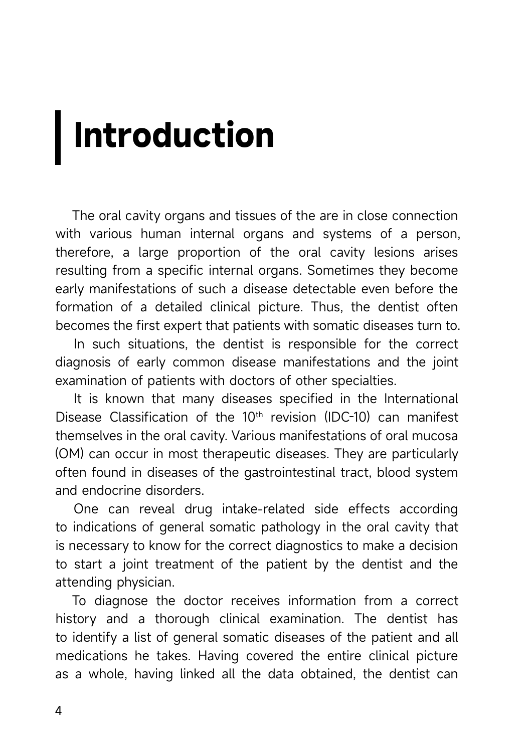## **Introduction**

The oral cavity organs and tissues of the are in close connection with various human internal organs and systems of a person, therefore, a large proportion of the oral cavity lesions arises resulting from a specific internal organs. Sometimes they become early manifestations of such a disease detectable even before the formation of a detailed clinical picture. Thus, the dentist often becomes the first expert that patients with somatic diseases turn to.

In such situations, the dentist is responsible for the correct diagnosis of early common disease manifestations and the joint examination of patients with doctors of other specialties.

It is known that many diseases specified in the International Disease Classification of the 10<sup>th</sup> revision (IDC-10) can manifest themselves in the oral cavity. Various manifestations of oral mucosa (OM) can occur in most therapeutic diseases. They are particularly often found in diseases of the gastrointestinal tract, blood system and endocrine disorders.

One can reveal drug intake-related side effects according to indications of general somatic pathology in the oral cavity that is necessary to know for the correct diagnostics to make a decision to start a joint treatment of the patient by the dentist and the attending physician.

To diagnose the doctor receives information from a correct history and a thorough clinical examination. The dentist has to identify a list of general somatic diseases of the patient and all medications he takes. Having covered the entire clinical picture as a whole, having linked all the data obtained, the dentist can